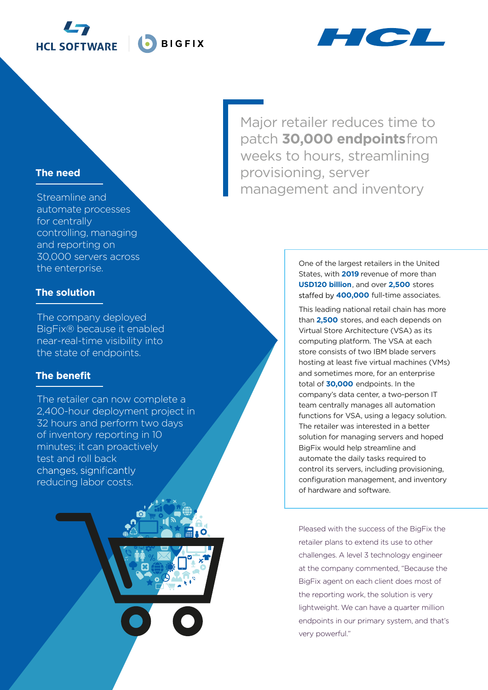



### **The need**

Streamline and automate processes for centrally controlling, managing and reporting on 30,000 servers across the enterprise.

### **The solution**

The company deployed BigFix® because it enabled near-real-time visibility into the state of endpoints.

## **The benefit**

The retailer can now complete a 2,400-hour deployment project in 32 hours and perform two days of inventory reporting in 10 minutes; it can proactively test and roll back changes, significantly reducing labor costs.

Major retailer reduces time to patch **30,000 endpoints** from weeks to hours, streamlining provisioning, server management and inventory

> One of the largest retailers in the United States, with **2019** revenue of more than **USD120 billion**, and over **2,500** stores **400,000** full-time associates.

This leading national retail chain has more than **2,500** stores, and each depends on Virtual Store Architecture (VSA) as its computing platform. The VSA at each store consists of two IBM blade servers hosting at least five virtual machines (VMs) and sometimes more, for an enterprise total of **30,000** endpoints. In the company's data center, a two-person IT team centrally manages all automation functions for VSA, using a legacy solution. The retailer was interested in a better solution for managing servers and hoped BigFix would help streamline and automate the daily tasks required to control its servers, including provisioning, configuration management, and inventory of hardware and software.

Pleased with the success of the BigFix the retailer plans to extend its use to other challenges. A level 3 technology engineer at the company commented, "Because the BigFix agent on each client does most of the reporting work, the solution is very lightweight. We can have a quarter million endpoints in our primary system, and that's very powerful."